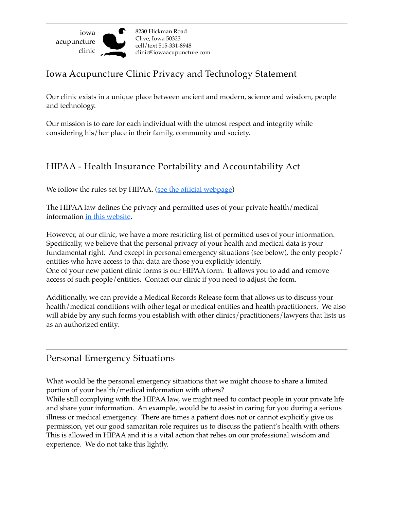

## Iowa Acupuncture Clinic Privacy and Technology Statement

Our clinic exists in a unique place between ancient and modern, science and wisdom, people and technology.

Our mission is to care for each individual with the utmost respect and integrity while considering his/her place in their family, community and society.

# HIPAA - Health Insurance Portability and Accountability Act

We follow the rules set by HIPAA. (see the official webpage)

The HIPAA law defines the privacy and permitted uses of your private health/medical information [in this website.](https://www.hhs.gov/hipaa/for-professionals/privacy/laws-regulations/index.html)

However, at our clinic, we have a more restricting list of permitted uses of your information. Specifically, we believe that the personal privacy of your health and medical data is your fundamental right. And except in personal emergency situations (see below), the only people/ entities who have access to that data are those you explicitly identify. One of your new patient clinic forms is our HIPAA form. It allows you to add and remove access of such people/entities. Contact our clinic if you need to adjust the form.

Additionally, we can provide a Medical Records Release form that allows us to discuss your health/medical conditions with other legal or medical entities and health practitioners. We also will abide by any such forms you establish with other clinics/practitioners/lawyers that lists us as an authorized entity.

#### Personal Emergency Situations

What would be the personal emergency situations that we might choose to share a limited portion of your health/medical information with others?

While still complying with the HIPAA law, we might need to contact people in your private life and share your information. An example, would be to assist in caring for you during a serious illness or medical emergency. There are times a patient does not or cannot explicitly give us permission, yet our good samaritan role requires us to discuss the patient's health with others. This is allowed in HIPAA and it is a vital action that relies on our professional wisdom and experience. We do not take this lightly.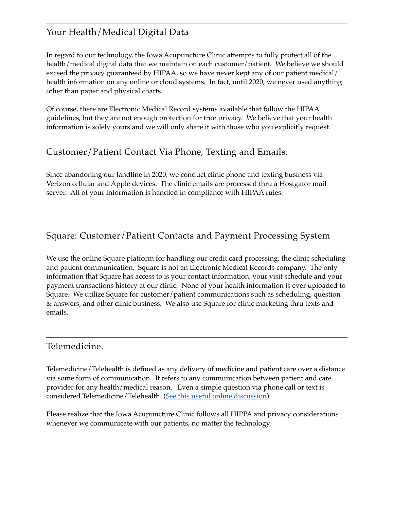# Your Health/Medical Digital Data

In regard to our technology, the Iowa Acupuncture Clinic attempts to fully protect all of the health/medical digital data that we maintain on each customer/patient. We believe we should exceed the privacy guaranteed by HIPAA, so we have never kept any of our patient medical/ health information on any online or cloud systems. In fact, until 2020, we never used anything other than paper and physical charts.

Of course, there are Electronic Medical Record systems available that follow the HIPAA guidelines, but they are not enough protection for true privacy. We believe that your health information is solely yours and we will only share it with those who you explicitly request.

# Customer/Patient Contact Via Phone, Texting and Emails.

Since abandoning our landline in 2020, we conduct clinic phone and texting business via Verizon cellular and Apple devices. The clinic emails are processed thru a Hostgator mail server. All of your information is handled in compliance with HIPAA rules.

#### Square: Customer/Patient Contacts and Payment Processing System

We use the online Square platform for handling our credit card processing, the clinic scheduling and patient communication. Square is not an Electronic Medical Records company. The only information that Square has access to is your contact information, your visit schedule and your payment transactions history at our clinic. None of your health information is ever uploaded to Square. We utilize Square for customer/patient communications such as scheduling, question & answers, and other clinic business. We also use Square for clinic marketing thru texts and emails.

#### Telemedicine.

Telemedicine/Telehealth is defined as any delivery of medicine and patient care over a distance via some form of communication. It refers to any communication between patient and care provider for any health/medical reason. Even a simple question via phone call or text is considered Telemedicine/Telehealth. ([See this useful online discussion\)](https://www.aafp.org/news/media-center/kits/telemedicine-and-telehealth.html).

Please realize that the Iowa Acupuncture Clinic follows all HIPPA and privacy considerations whenever we communicate with our patients, no matter the technology.